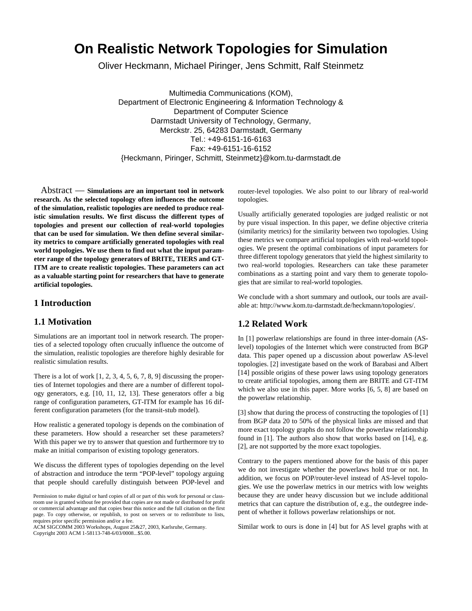# **On Realistic Network Topologies for Simulation**

Oliver Heckmann, Michael Piringer, Jens Schmitt, Ralf Steinmetz

Multimedia Communications (KOM), Department of Electronic Engineering & Information Technology & Department of Computer Science Darmstadt University of Technology, Germany, Merckstr. 25, 64283 Darmstadt, Germany Tel.: +49-6151-16-6163 Fax: +49-6151-16-6152 {Heckmann, Piringer, Schmitt, Steinmetz}@kom.tu-darmstadt.de

Abstract — **Simulations are an important tool in network research. As the selected topology often influences the outcome of the simulation, realistic topologies are needed to produce realistic simulation results. We first discuss the different types of topologies and present our collection of real-world topologies that can be used for simulation. We then define several similarity metrics to compare artificially generated topologies with real world topologies. We use them to find out what the input parameter range of the topology generators of BRITE, TIERS and GT-ITM are to create realistic topologies. These parameters can act as a valuable starting point for researchers that have to generate artificial topologies.**

# **1 Introduction**

# **1.1 Motivation**

Simulations are an important tool in network research. The properties of a selected topology often crucually influence the outcome of the simulation, realistic topologies are therefore highly desirable for realistic simulation results.

There is a lot of work  $[1, 2, 3, 4, 5, 6, 7, 8, 9]$  discussing the properties of Internet topologies and there are a number of different topology generators, e.g. [10, 11, 12, 13]. These generators offer a big range of configuration parameters, GT-ITM for example has 16 different configuration parameters (for the transit-stub model).

How realistic a generated topology is depends on the combination of these parameters. How should a researcher set these parameters? With this paper we try to answer that question and furthermore try to make an initial comparison of existing topology generators.

We discuss the different types of topologies depending on the level of abstraction and introduce the term "POP-level" topology arguing that people should carefully distinguish between POP-level and

ACM SIGCOMM 2003 Workshops, August 25&27, 2003, Karlsruhe, Germany. Copyright 2003 ACM 1-58113-748-6/03/0008...\$5.00.

router-level topologies. We also point to our library of real-world topologies.

Usually artificially generated topologies are judged realistic or not by pure visual inspection. In this paper, we define objective criteria (similarity metrics) for the similarity between two topologies. Using these metrics we compare artificial topologies with real-world topologies. We present the optimal combinations of input parameters for three different topology generators that yield the highest similarity to two real-world topologies. Researchers can take these parameter combinations as a starting point and vary them to generate topologies that are similar to real-world topologies.

We conclude with a short summary and outlook, our tools are available at: http://www.kom.tu-darmstadt.de/heckmann/topologies/.

# **1.2 Related Work**

In [1] powerlaw relationships are found in three inter-domain (ASlevel) topologies of the Internet which were constructed from BGP data. This paper opened up a discussion about powerlaw AS-level topologies. [2] investigate based on the work of Barabasi and Albert [14] possible origins of these power laws using topology generators to create artificial topologies, among them are BRITE and GT-ITM which we also use in this paper. More works [6, 5, 8] are based on the powerlaw relationship.

[3] show that during the process of constructing the topologies of [1] from BGP data 20 to 50% of the physical links are missed and that more exact topology graphs do not follow the powerlaw relationship found in [1]. The authors also show that works based on [14], e.g. [2], are not supported by the more exact topologies.

Contrary to the papers mentioned above for the basis of this paper we do not investigate whether the powerlaws hold true or not. In addition, we focus on POP/router-level instead of AS-level topologies. We use the powerlaw metrics in our metrics with low weights because they are under heavy discussion but we include additional metrics that can capture the distribution of, e.g., the outdegree indepent of whether it follows powerlaw relationships or not.

Similar work to ours is done in [4] but for AS level graphs with at

Permission to make digital or hard copies of all or part of this work for personal or classroom use is granted without fee provided that copies are not made or distributed for profit or commercial advantage and that copies bear this notice and the full citation on the first page. To copy otherwise, or republish, to post on servers or to redistribute to lists, requires prior specific permission and/or a fee.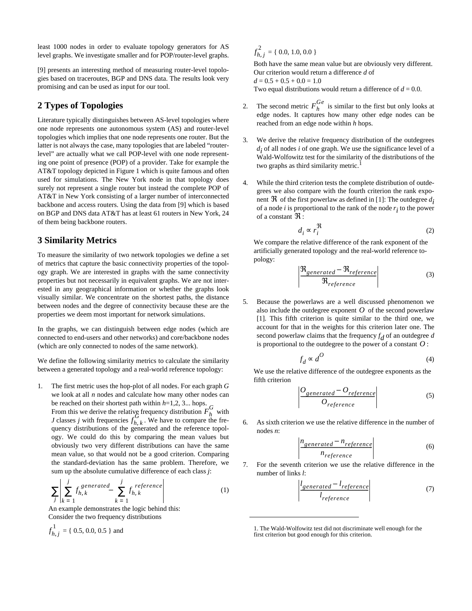least 1000 nodes in order to evaluate topology generators for AS level graphs. We investigate smaller and for POP/router-level graphs.

[9] presents an interesting method of measuring router-level topologies based on traceroutes, BGP and DNS data. The results look very promising and can be used as input for our tool.

# **2 Types of Topologies**

Literature typically distinguishes between AS-level topologies where one node represents one autonomous system (AS) and router-level topologies which implies that one node represents one router. But the latter is not always the case, many topologies that are labeled "routerlevel" are actually what we call POP-level with one node representing one point of presence (POP) of a provider. Take for example the AT&T topology depicted in Figure 1 which is quite famous and often used for simulations. The New York node in that topology does surely not represent a single router but instead the complete POP of AT&T in New York consisting of a larger number of interconnected backbone and access routers. Using the data from [9] which is based on BGP and DNS data AT&T has at least 61 routers in New York, 24 of them being backbone routers.

# **3 Similarity Metrics**

To measure the similarity of two network topologies we define a set of metrics that capture the basic connectivity properties of the topology graph. We are interested in graphs with the same connectivity properties but not necessarily in equivalent graphs. We are not interested in any geographical information or whether the graphs look visually similar. We concentrate on the shortest paths, the distance between nodes and the degree of connectivity because these are the properties we deem most important for network simulations.

In the graphs, we can distinguish between edge nodes (which are connected to end-users and other networks) and core/backbone nodes (which are only connected to nodes of the same network).

We define the following similarity metrics to calculate the similarity between a generated topology and a real-world reference topology:

1. The first metric uses the hop-plot of all nodes. For each graph *G* we look at all *n* nodes and calculate how many other nodes can be reached on their shortest path within  $h=1,2,3...$  hops. From this we derive the relative frequency distribution  $F<sub>k</sub><sup>o</sup>$  with From this we derive the relative frequency distribution  $F_h^{\mathbf{O}}$  with *frequencies*  $f_{h, k}^{\mathbf{G}}$ . We have to compare the frequency distributions of the generated and the reference topology. We could do this by comparing the mean values but obviously two very different distributions can have the same mean value, so that would not be a good criterion. Comparing the standard-deviation has the same problem. Therefore, we sum up the absolute cumulative difference of each class *j*: *G*

$$
\sum_{j} \left| \sum_{k=1}^{j} f_{h,k}^{generated} - \sum_{k=1}^{j} f_{h,k}^{reference} \right| \tag{1}
$$

An example demonstrates the logic behind this: Consider the two frequency distributions

$$
f_{h,j}^1 = \{ 0.5, 0.0, 0.5 \}
$$
 and

 $f_{h, j}^2 = \{ 0.0, 1.0, 0.0 \}$ 2

Both have the same mean value but are obviously very different. Our criterion would return a difference *d* of  $d = 0.5 + 0.5 + 0.0 = 1.0$ 

- Two equal distributions would return a difference of *d* = 0.0.
- 2. The second metric  $F_h^{\sigma \tau}$  is similar to the first but only looks at The second metric  $F_h^{Ge}$  is similar to the first but only looks at edge nodes. It captures how many other edge nodes can be reached from an edge node within *h* hops.
- 3. We derive the relative frequency distribution of the outdegrees *di* of all nodes *i* of one graph. We use the significance level of a Wald-Wolfowitz test for the similarity of the distributions of the two graphs as third similarity metric.<sup>1</sup>
- 4. While the third criterion tests the complete distribution of outdegrees we also compare with the fourth criterion the rank exponent  $\Re$  of the first powerlaw as defined in [1]: The outdegree  $d_i$ of a node *i* is proportional to the rank of the node  $r_i$  to the power of a constant  $\mathfrak{R}$  :

$$
d_i \propto r_i^{\Re} \tag{2}
$$

We compare the relative difference of the rank exponent of the artificially generated topology and the real-world reference topology:

$$
\frac{\Re_{generated} - \Re_{reference}}{\Re_{reference}}
$$
 (3)

5. Because the powerlaws are a well discussed phenomenon we also include the outdegree exponent  $O$  of the second powerlaw [1]. This fifth criterion is quite similar to the third one, we account for that in the weights for this criterion later one. The second powerlaw claims that the frequency *fd* of an outdegree *d* is proportional to the outdegree to the power of a constant  $O$ :

$$
f_d \propto d^O \tag{4}
$$

We use the relative difference of the outdegree exponents as the fifth criterion

$$
\left| \frac{O_{generated} - O_{reference}}{O_{reference}} \right| \tag{5}
$$

6. As sixth criterion we use the relative difference in the number of nodes *n*:

$$
\left| \frac{n_{generated} - n_{reference}}{n_{reference}} \right| \tag{6}
$$

7. For the seventh criterion we use the relative difference in the number of links *l*:

$$
\frac{l_{generated} - l_{reference}}{l_{reference}}
$$
 (7)

<sup>1.</sup> The Wald-Wolfowitz test did not discriminate well enough for the first criterion but good enough for this criterion.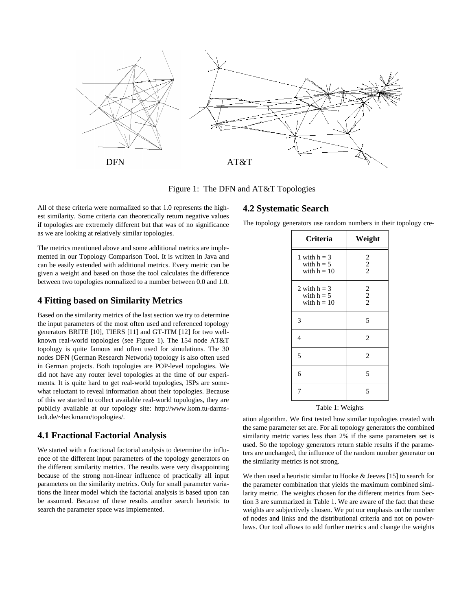

Figure 1: The DFN and AT&T Topologies

All of these criteria were normalized so that 1.0 represents the highest similarity. Some criteria can theoretically return negative values if topologies are extremely different but that was of no significance as we are looking at relatively similar topologies.

The metrics mentioned above and some additional metrics are implemented in our Topology Comparison Tool. It is written in Java and can be easily extended with additional metrics. Every metric can be given a weight and based on those the tool calculates the difference between two topologies normalized to a number between 0.0 and 1.0.

#### **4 Fitting based on Similarity Metrics**

Based on the similarity metrics of the last section we try to determine the input parameters of the most often used and referenced topology generators BRITE [10], TIERS [11] and GT-ITM [12] for two wellknown real-world topologies (see Figure 1). The 154 node AT&T topology is quite famous and often used for simulations. The 30 nodes DFN (German Research Network) topology is also often used in German projects. Both topologies are POP-level topologies. We did not have any router level topologies at the time of our experiments. It is quite hard to get real-world topologies, ISPs are somewhat reluctant to reveal information about their topologies. Because of this we started to collect available real-world topologies, they are publicly available at our topology site: http://www.kom.tu-darmstadt.de/~heckmann/topologies/.

#### **4.1 Fractional Factorial Analysis**

We started with a fractional factorial analysis to determine the influence of the different input parameters of the topology generators on the different similarity metrics. The results were very disappointing because of the strong non-linear influence of practically all input parameters on the similarity metrics. Only for small parameter variations the linear model which the factorial analysis is based upon can be assumed. Because of these results another search heuristic to search the parameter space was implemented.

## **4.2 Systematic Search**

The topology generators use random numbers in their topology cre-

| <b>Criteria</b>                                 | Weight        |  |  |  |
|-------------------------------------------------|---------------|--|--|--|
| 1 with $h = 3$<br>with $h = 5$<br>with $h = 10$ | $\frac{2}{2}$ |  |  |  |
| 2 with $h = 3$<br>with $h = 5$<br>with $h = 10$ | $\frac{2}{2}$ |  |  |  |
| 3                                               | 5             |  |  |  |
| 4                                               | 2             |  |  |  |
| 5                                               | 2             |  |  |  |
| 6                                               | 5             |  |  |  |
| 7                                               | 5             |  |  |  |
| Table 1: Weights                                |               |  |  |  |

ation algorithm. We first tested how similar topologies created with the same parameter set are. For all topology generators the combined similarity metric varies less than 2% if the same parameters set is used. So the topology generators return stable results if the parameters are unchanged, the influence of the random number generator on the similarity metrics is not strong.

We then used a heuristic similar to Hooke & Jeeves [15] to search for the parameter combination that yields the maximum combined similarity metric. The weights chosen for the different metrics from Section 3 are summarized in Table 1. We are aware of the fact that these weights are subjectively chosen. We put our emphasis on the number of nodes and links and the distributional criteria and not on powerlaws. Our tool allows to add further metrics and change the weights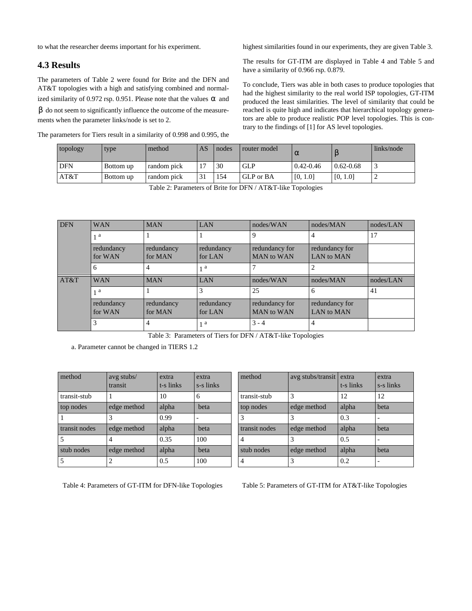to what the researcher deems important for his experiment.

# **4.3 Results**

The parameters of Table 2 were found for Brite and the DFN and AT&T topologies with a high and satisfying combined and normalized similarity of 0.972 rsp. 0.951. Please note that the values  $\alpha$  and  $\beta$  do not seem to significantly influence the outcome of the measurements when the parameter links/node is set to 2.

The parameters for Tiers result in a similarity of 0.998 and 0.995, the

highest similarities found in our experiments, they are given Table 3.

The results for GT-ITM are displayed in Table 4 and Table 5 and have a similarity of 0.966 rsp. 0.879.

To conclude, Tiers was able in both cases to produce topologies that had the highest similarity to the real world ISP topologies, GT-ITM produced the least similarities. The level of similarity that could be reached is quite high and indicates that hierarchical topology generators are able to produce realistic POP level topologies. This is contrary to the findings of [1] for AS level topologies.

| topology   | type      | method      | AS             | nodes | router model | u             |               | links/node |
|------------|-----------|-------------|----------------|-------|--------------|---------------|---------------|------------|
| <b>DFN</b> | Bottom up | random pick | 1 <sub>7</sub> | 30    | <b>GLP</b>   | $0.42 - 0.46$ | $0.62 - 0.68$ |            |
| AT&T       | Bottom up | random pick | 31             | 154   | GLP or BA    | [0, 1.0]      | [0, 1.0]      |            |

Table 2: Parameters of Brite for DFN / AT&T-like Topologies

| <b>DFN</b> | <b>WAN</b>            | <b>MAN</b>            | <b>LAN</b>            | nodes/WAN                           | nodes/MAN                    | nodes/LAN |
|------------|-----------------------|-----------------------|-----------------------|-------------------------------------|------------------------------|-----------|
|            | 1 <sup>a</sup>        |                       |                       |                                     |                              | 17        |
|            | redundancy<br>for WAN | redundancy<br>for MAN | redundancy<br>for LAN | redundancy for<br><b>MAN</b> to WAN | redundancy for<br>LAN to MAN |           |
|            |                       |                       | a                     |                                     |                              |           |
|            |                       |                       |                       |                                     |                              |           |
| AT&T       | <b>WAN</b>            | <b>MAN</b>            | LAN                   | nodes/WAN                           | nodes/MAN                    | nodes/LAN |
|            | 1 <sup>a</sup>        |                       |                       | 25                                  | 6                            | 41        |
|            | redundancy<br>for WAN | redundancy<br>for MAN | redundancy<br>for LAN | redundancy for<br><b>MAN</b> to WAN | redundancy for<br>LAN to MAN |           |

Table 3: Parameters of Tiers for DFN / AT&T-like Topologies

a. Parameter cannot be changed in TIERS 1.2

| method                   | avg stubs/  | extra     | extra     |
|--------------------------|-------------|-----------|-----------|
|                          | transit     | t-s links | s-s links |
| transit-stub             |             | 10        | 6         |
| top nodes                | edge method | alpha     | beta      |
|                          | 3           | 0.99      |           |
| transit nodes            | edge method | alpha     | beta      |
|                          | 4           | 0.35      | 100       |
| stub nodes               | edge method | alpha     | beta      |
| $\overline{\phantom{0}}$ | 2           | 0.5       | 100       |

| method        | avg stubs/transit | extra<br>t-s links | extra<br>s-s links |
|---------------|-------------------|--------------------|--------------------|
| transit-stub  | 3                 | 12                 | 12                 |
| top nodes     | edge method       | alpha              | beta               |
| $\mathcal{R}$ | 3                 | 0.3                |                    |
| transit nodes | edge method       | alpha              | beta               |
|               | 3                 | 0.5                |                    |
| stub nodes    | edge method       | alpha              | beta               |
|               | 3                 | 0.2                |                    |

Table 4: Parameters of GT-ITM for DFN-like Topologies Table 5: Parameters of GT-ITM for AT&T-like Topologies